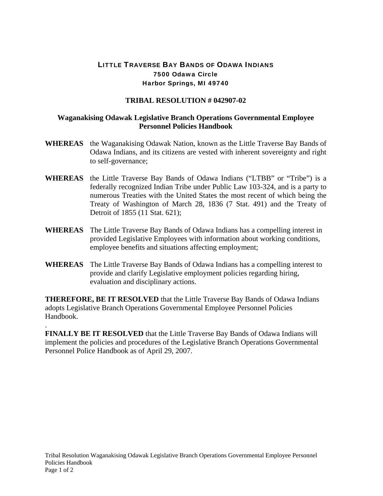## LITTLE TRAVERSE BAY BANDS OF ODAWA INDIANS 7500 Odawa Circle Harbor Springs, MI 49740

## **TRIBAL RESOLUTION # 042907-02**

## **Waganakising Odawak Legislative Branch Operations Governmental Employee Personnel Policies Handbook**

- **WHEREAS** the Waganakising Odawak Nation, known as the Little Traverse Bay Bands of Odawa Indians, and its citizens are vested with inherent sovereignty and right to self-governance;
- **WHEREAS** the Little Traverse Bay Bands of Odawa Indians ("LTBB" or "Tribe") is a federally recognized Indian Tribe under Public Law 103-324, and is a party to numerous Treaties with the United States the most recent of which being the Treaty of Washington of March 28, 1836 (7 Stat. 491) and the Treaty of Detroit of 1855 (11 Stat. 621);
- **WHEREAS** The Little Traverse Bay Bands of Odawa Indians has a compelling interest in provided Legislative Employees with information about working conditions, employee benefits and situations affecting employment;
- **WHEREAS** The Little Traverse Bay Bands of Odawa Indians has a compelling interest to provide and clarify Legislative employment policies regarding hiring, evaluation and disciplinary actions.

**THEREFORE, BE IT RESOLVED** that the Little Traverse Bay Bands of Odawa Indians adopts Legislative Branch Operations Governmental Employee Personnel Policies Handbook.

**FINALLY BE IT RESOLVED** that the Little Traverse Bay Bands of Odawa Indians will implement the policies and procedures of the Legislative Branch Operations Governmental Personnel Police Handbook as of April 29, 2007.

.